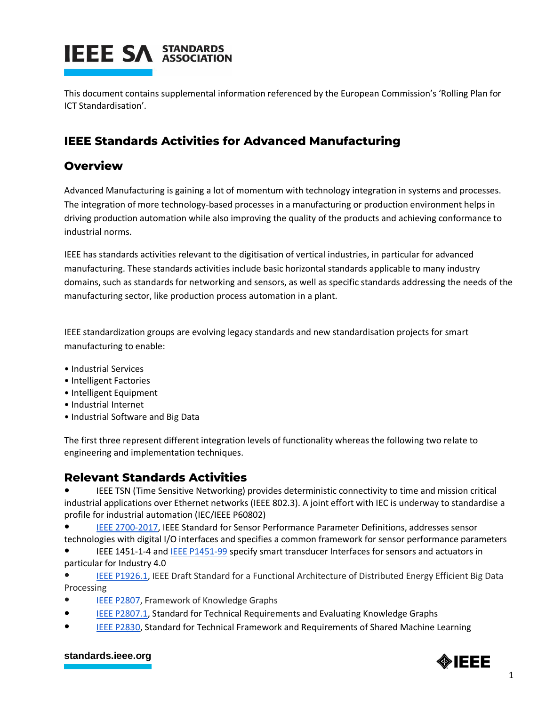# **IEEE SA STANDARDS**

This document contains supplemental information referenced by the European Commission's 'Rolling Plan for ICT Standardisation'.

## **IEEE Standards Activities for Advanced Manufacturing**

### **Overview**

Advanced Manufacturing is gaining a lot of momentum with technology integration in systems and processes. The integration of more technology-based processes in a manufacturing or production environment helps in driving production automation while also improving the quality of the products and achieving conformance to industrial norms.

IEEE has standards activities relevant to the digitisation of vertical industries, in particular for advanced manufacturing. These standards activities include basic horizontal standards applicable to many industry domains, such as standards for networking and sensors, as well as specific standards addressing the needs of the manufacturing sector, like production process automation in a plant.

IEEE standardization groups are evolving legacy standards and new standardisation projects for smart manufacturing to enable:

- Industrial Services
- Intelligent Factories
- Intelligent Equipment
- Industrial Internet
- Industrial Software and Big Data

The first three represent different integration levels of functionality whereas the following two relate to engineering and implementation techniques.

### **Relevant Standards Activities**

IEEE TSN (Time Sensitive Networking) provides deterministic connectivity to time and mission critical industrial applications over Ethernet networks (IEEE 802.3). A joint effort with IEC is underway to standardise a profile for industrial automation (IEC/IEEE P60802)

[IEEE 2700-2017,](https://standards.ieee.org/standard/2700-2017.html) IEEE Standard for Sensor Performance Parameter Definitions, addresses sensor technologies with digital I/O interfaces and specifies a common framework for sensor performance parameters

IEEE 1451-1-4 and [IEEE P1451-99](https://standards.ieee.org/project/1451-99.html) specify smart transducer Interfaces for sensors and actuators in particular for Industry 4.0

[IEEE P1926.1,](https://standards.ieee.org/project/1926_1.html) IEEE Draft Standard for a Functional Architecture of Distributed Energy Efficient Big Data Processing

- [IEEE P2807,](https://standards.ieee.org/project/2807.html) Framework of Knowledge Graphs
- [IEEE P2807.1,](https://development.standards.ieee.org/get-file/P2807.1.pdf?t=101986300003) Standard for Technical Requirements and Evaluating Knowledge Graphs
- [IEEE P2830,](https://standards.ieee.org/project/2830.html) Standard for Technical Framework and Requirements of Shared Machine Learning

#### **[standards.ieee.org](http://standards.ieee.org/)**

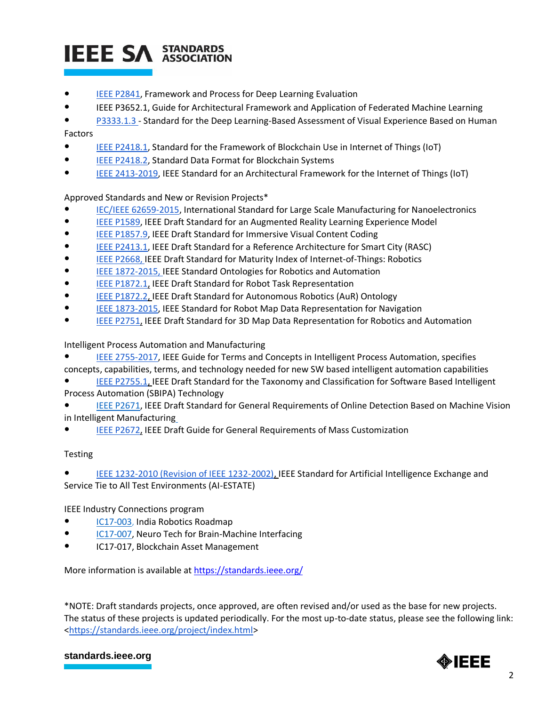## **IEEE SA STANDARDS**

- [IEEE P2841,](https://standards.ieee.org/project/2841.html) Framework and Process for Deep Learning Evaluation
- IEEE P3652.1, Guide for Architectural Framework and Application of Federated Machine Learning
- [P3333.1.3 -](https://standards.ieee.org/project/3333_1_3.html) [Standard for the Deep Learning-Based Assessment of Visual Experience Based on Human](https://standards.ieee.org/project/3333_1_3.html)

#### [Factors](https://standards.ieee.org/project/3333_1_3.html)

- [IEEE P2418.1,](https://standards.ieee.org/project/2418_1.html) Standard for the Framework of Blockchain Use in Internet of Things (IoT)
- [IEEE P2418.2,](https://standards.ieee.org/project/2418_2.html) Standard Data Format for Blockchain Systems
- [IEEE 2413-](http://standards.ieee.org/develop/project/2413.html)2019, IEEE Standard for an Architectural Framework for the Internet of Things (IoT)

#### Approved Standards and New or Revision Projects\*

- [IEC/IEEE 62659-2015,](http://standards.ieee.org/findstds/standard/62659-2015.html) International Standard for Large Scale Manufacturing for Nanoelectronics
- [IEEE P1589,](http://standards.ieee.org/develop/project/1589.html) IEEE Draft Standard for an Augmented Reality Learning Experience Model
- [IEEE P1857.9,](http://standards.ieee.org/develop/project/1857.9.html) IEEE Draft Standard for Immersive Visual Content Coding
- [IEEE P2413.1,](https://standards.ieee.org/project/2413_1.html) IEEE Draft Standard for a Reference Architecture for Smart City (RASC)
- [IEEE P2668,](http://standards.ieee.org/develop/project/2668.html) IEEE Draft Standard for Maturity Index of Internet-of-Things: Robotics
- [IEEE 1872-2015, IEEE Standard Ontologies for Robotics and Automation](http://standards.ieee.org/findstds/standard/1872-2015.html)
- [IEEE P1872.1,](http://standards.ieee.org/develop/project/1872.1.html) [IEEE Draft Standard for Robot Task Representation](http://standards.ieee.org/develop/project/1872.1.html)
- [IEEE P1872.2, IEEE Draft Standard for Autonomous Robotics \(AuR\) Ontology](http://standards.ieee.org/develop/project/1872.2.html)
- [IEEE 1873-2015,](http://standards.ieee.org/findstds/standard/1873-2015.html) IEEE Standard for Robot Map Data Representation for Navigation
- **[IEEE P2751,](http://standards.ieee.org/develop/project/2751.html) IEEE [Draft Standard for 3D Map Data Representation for Robotics and Automation](http://standards.ieee.org/develop/project/2751.html)**

#### [Intelligent Process Automation and Manufacturing](http://standards.ieee.org/develop/project/2025.2.html)

- [IEEE 2755-2017,](https://standards.ieee.org/standard/2755-2017.html) IEEE Guide for Terms and Concepts in Intelligent Process Automation, specifies
- concepts, capabilities, terms, and technology needed for new SW based intelligent automation capabilities
- IEEE P2755.1, IEEE Draft Standard for the Taxonomy and Classification for Software Based Intelligent [Process Automation \(SBIPA\) Technology](http://standards.ieee.org/develop/project/2755.1.html)
- [IEEE P2671,](http://standards.ieee.org/develop/project/2671.html) IEEE Draft Standard for General Requirements of Online Detection Based on Machine Vision in Intelligent Manufacturin[g](http://standards.ieee.org/develop/project/2671.html)
- [IEEE P2672,](https://standards.ieee.org/develop/project/2672.html) [IEEE Draft Guide for General Requirements of Mass Customization](https://standards.ieee.org/develop/project/2672.html)

#### Testing

IEEE 1232-2010 (Revision of IEEE 1232-2002), IEEE Standard for Artificial Intelligence Exchange and [Service Tie to All Test Environments \(AI-ESTATE\)](https://standards.ieee.org/findstds/standard/1232-2010.html)

#### IEEE Industry Connections program

- [IC17-003,](http://standards.ieee.org/about/sasb/iccom/IC17-003-01_India_Robotics_Roadmap.pdf) India Robotics Roadmap
- [IC17-007,](http://standards.ieee.org/about/sasb/iccom/IC17-007_Neuro_Tech_for_Brain-Machine_Interfacing.pdf) Neuro Tech for Brain-Machine Interfacing
- IC17-017, Blockchain Asset Management

More information is available a[t https://standards.ieee.org/](https://standards.ieee.org/)

\*NOTE: Draft standards projects, once approved, are often revised and/or used as the base for new projects. The status of these projects is updated periodically. For the most up-to-date status, please see the following link: [<https://standards.ieee.org/project/index.html>](https://standards.ieee.org/project/index.html)